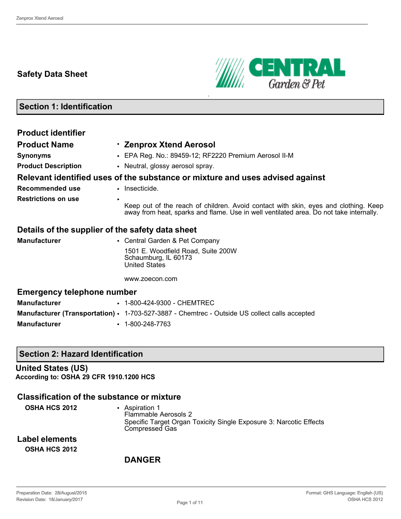# **Safety Data Sheet**



# **Section 1: Identification**

| <b>Product identifier</b>                        |                                                                                                                                                                               |
|--------------------------------------------------|-------------------------------------------------------------------------------------------------------------------------------------------------------------------------------|
| <b>Product Name</b>                              | · Zenprox Xtend Aerosol                                                                                                                                                       |
| <b>Synonyms</b>                                  | • EPA Reg. No.: 89459-12; RF2220 Premium Aerosol II-M                                                                                                                         |
| <b>Product Description</b>                       | • Neutral, glossy aerosol spray.                                                                                                                                              |
|                                                  | Relevant identified uses of the substance or mixture and uses advised against                                                                                                 |
| Recommended use                                  | • Insecticide.                                                                                                                                                                |
| <b>Restrictions on use</b>                       | Keep out of the reach of children. Avoid contact with skin, eyes and clothing. Keep<br>away from heat, sparks and flame. Use in well ventilated area. Do not take internally. |
| Details of the supplier of the safety data sheet |                                                                                                                                                                               |
| <b>Manufacturer</b>                              | • Central Garden & Pet Company                                                                                                                                                |
|                                                  | 1501 E. Woodfield Road, Suite 200W<br>Schaumburg, IL 60173<br><b>United States</b>                                                                                            |
|                                                  | www.zoecon.com                                                                                                                                                                |
| <b>Emergency telephone number</b>                |                                                                                                                                                                               |
| <b>Manufacturer</b>                              | • 1-800-424-9300 - CHEMTREC                                                                                                                                                   |
|                                                  | <b>Manufacturer (Transportation) · 1-703-527-3887 - Chemtrec - Outside US collect calls accepted</b>                                                                          |
| <b>Manufacturer</b>                              | $\cdot$ 1-800-248-7763                                                                                                                                                        |

## **Section 2: Hazard Identification**

**United States (US) According to: OSHA 29 CFR 1910.1200 HCS**

#### **Classification of the substance or mixture**

| <b>OSHA HCS 2012</b>                          | • Aspiration 1<br>Flammable Aerosols 2<br>Specific Target Organ Toxicity Single Exposure 3: Narcotic Effects<br><b>Compressed Gas</b> |
|-----------------------------------------------|---------------------------------------------------------------------------------------------------------------------------------------|
| <b>Label elements</b><br><b>OSHA HCS 2012</b> |                                                                                                                                       |

## **DANGER**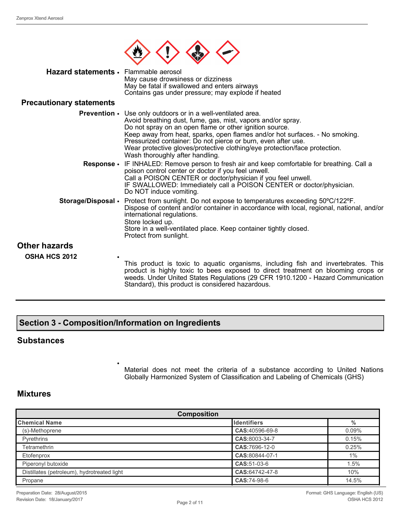

**Hazard statements** • Flammable aerosol May cause drowsiness or dizziness May be fatal if swallowed and enters airways Contains gas under pressure; may explode if heated

#### **Pre**

| <b>Precautionary statements</b> |                                                                                                                                                                                                                                                                                                                                                                                                                                                                |
|---------------------------------|----------------------------------------------------------------------------------------------------------------------------------------------------------------------------------------------------------------------------------------------------------------------------------------------------------------------------------------------------------------------------------------------------------------------------------------------------------------|
|                                 | <b>Prevention •</b> Use only outdoors or in a well-ventilated area.<br>Avoid breathing dust, fume, gas, mist, vapors and/or spray.<br>Do not spray on an open flame or other ignition source.<br>Keep away from heat, sparks, open flames and/or hot surfaces. - No smoking.<br>Pressurized container: Do not pierce or burn, even after use.<br>Wear protective gloves/protective clothing/eye protection/face protection.<br>Wash thoroughly after handling. |
|                                 | <b>Response</b> • IF INHALED: Remove person to fresh air and keep comfortable for breathing. Call a<br>poison control center or doctor if you feel unwell.<br>Call a POISON CENTER or doctor/physician if you feel unwell.<br>IF SWALLOWED: Immediately call a POISON CENTER or doctor/physician.<br>Do NOT induce vomiting.                                                                                                                                   |
| Storage/Disposal •              | Protect from sunlight. Do not expose to temperatures exceeding 50°C/122°F.<br>Dispose of content and/or container in accordance with local, regional, national, and/or<br>international regulations.<br>Store locked up.<br>Store in a well-ventilated place. Keep container tightly closed.<br>Protect from sunlight.                                                                                                                                         |
| <b>Other hazards</b>            |                                                                                                                                                                                                                                                                                                                                                                                                                                                                |
| <b>OSHA HCS 2012</b>            | This product is toxic to aquatic organisms, including fish and invertebrates. This<br>product is bigbly toxic to bees expected to direct treatment on blooming erese or                                                                                                                                                                                                                                                                                        |

product is highly toxic to bees exposed to direct treatment on blooming crops or weeds. Under United States Regulations (29 CFR 1910.1200 - Hazard Communication Standard), this product is considered hazardous.

## **Section 3 - Composition/Information on Ingredients**

•

#### **Substances**

Material does not meet the criteria of a substance according to United Nations Globally Harmonized System of Classification and Labeling of Chemicals (GHS)

### **Mixtures**

| <b>Composition</b>                          |                    |          |
|---------------------------------------------|--------------------|----------|
| <b>Chemical Name</b>                        | <b>Identifiers</b> | %        |
| (s)-Methoprene                              | CAS:40596-69-8     | $0.09\%$ |
| Pyrethrins                                  | CAS:8003-34-7      | 0.15%    |
| Tetramethrin                                | CAS:7696-12-0      | 0.25%    |
| Etofenprox                                  | CAS:80844-07-1     | 1%       |
| Piperonyl butoxide                          | CAS:51-03-6        | 1.5%     |
| Distillates (petroleum), hydrotreated light | CAS:64742-47-8     | 10%      |
| Propane                                     | CAS:74-98-6        | 14.5%    |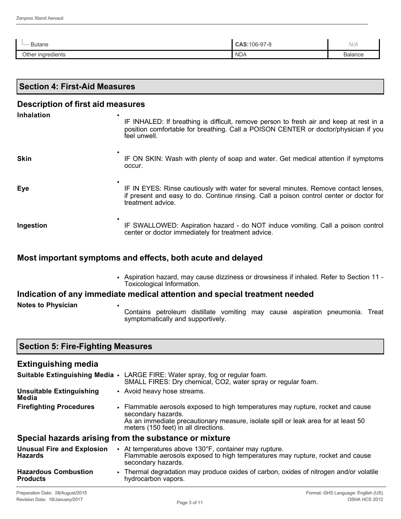| <b>Butane</b><br> | CAS: 106-97-8 | N/A            |
|-------------------|---------------|----------------|
| Other ingredients | NDA           | <b>Balance</b> |

| <b>Section 4: First-Aid Measures</b>     |                                                                                                                                                                                                     |  |  |
|------------------------------------------|-----------------------------------------------------------------------------------------------------------------------------------------------------------------------------------------------------|--|--|
| <b>Description of first aid measures</b> |                                                                                                                                                                                                     |  |  |
| <b>Inhalation</b>                        | IF INHALED: If breathing is difficult, remove person to fresh air and keep at rest in a<br>position comfortable for breathing. Call a POISON CENTER or doctor/physician if you<br>feel unwell.      |  |  |
| <b>Skin</b>                              | IF ON SKIN: Wash with plenty of soap and water. Get medical attention if symptoms<br>occur.                                                                                                         |  |  |
| Eye                                      | IF IN EYES: Rinse cautiously with water for several minutes. Remove contact lenses,<br>if present and easy to do. Continue rinsing. Call a poison control center or doctor for<br>treatment advice. |  |  |
| Ingestion                                | IF SWALLOWED: Aspiration hazard - do NOT induce vomiting. Call a poison control<br>center or doctor immediately for treatment advice.                                                               |  |  |

## **Most important symptoms and effects, both acute and delayed**

• Aspiration hazard, may cause dizziness or drowsiness if inhaled. Refer to Section 11 - Toxicological Information.

# **Indication of any immediate medical attention and special treatment needed**

**Notes to Physician** 

Contains petroleum distillate vomiting may cause aspiration pneumonia. Treat symptomatically and supportively.

| <b>Section 5: Fire-Fighting Measures</b>            |                                                                                                                                                                                                                                    |  |
|-----------------------------------------------------|------------------------------------------------------------------------------------------------------------------------------------------------------------------------------------------------------------------------------------|--|
| <b>Extinguishing media</b>                          |                                                                                                                                                                                                                                    |  |
|                                                     | Suitable Extinguishing Media • LARGE FIRE: Water spray, fog or regular foam.<br>SMALL FIRES: Dry chemical, CO2, water spray or regular foam.                                                                                       |  |
| <b>Unsuitable Extinguishing</b><br>Media            | • Avoid heavy hose streams.                                                                                                                                                                                                        |  |
| <b>Firefighting Procedures</b>                      | • Flammable aerosols exposed to high temperatures may rupture, rocket and cause<br>secondary hazards.<br>As an immediate precautionary measure, isolate spill or leak area for at least 50<br>meters (150 feet) in all directions. |  |
|                                                     | Special hazards arising from the substance or mixture                                                                                                                                                                              |  |
| <b>Unusual Fire and Explosion</b><br><b>Hazards</b> | • At temperatures above 130°F, container may rupture.<br>Flammable aerosols exposed to high temperatures may rupture, rocket and cause<br>secondary hazards.                                                                       |  |
| <b>Hazardous Combustion</b><br><b>Products</b>      | • Thermal degradation may produce oxides of carbon, oxides of nitrogen and/or volatile<br>hydrocarbon vapors.                                                                                                                      |  |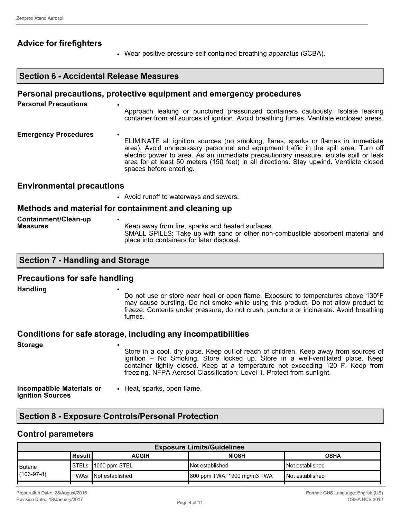# **Advice for firefighters**

• Wear positive pressure self-contained breathing apparatus (SCBA).

### **Section 6 - Accidental Release Measures**

|                                  | Personal precautions, protective equipment and emergency procedures                                                                                                                                                                                                                                                                                                                          |
|----------------------------------|----------------------------------------------------------------------------------------------------------------------------------------------------------------------------------------------------------------------------------------------------------------------------------------------------------------------------------------------------------------------------------------------|
| <b>Personal Precautions</b>      | Approach leaking or punctured pressurized containers cautiously. Isolate leaking<br>container from all sources of ignition. Avoid breathing fumes. Ventilate enclosed areas.                                                                                                                                                                                                                 |
| <b>Emergency Procedures</b>      | ٠<br>ELIMINATE all ignition sources (no smoking, flares, sparks or flames in immediate<br>area). Avoid unnecessary personnel and equipment traffic in the spill area. Turn off<br>electric power to area. As an immediate precautionary measure, isolate spill or leak<br>area for at least 50 meters (150 feet) in all directions. Stay upwind. Ventilate closed<br>spaces before entering. |
| <b>Environmental precautions</b> |                                                                                                                                                                                                                                                                                                                                                                                              |
|                                  | • Avoid runoff to waterways and sewers.                                                                                                                                                                                                                                                                                                                                                      |
|                                  | Mathado and material fer containment and algoning un                                                                                                                                                                                                                                                                                                                                         |

#### **Methods and material for containment and cleaning up**

| Containment/Clean-up<br><b>Measures</b> | Keep away from fire, sparks and heated surfaces.<br>SMALL SPILLS: Take up with sand or other non-combustible absorbent material and<br>place into containers for later disposal. |
|-----------------------------------------|----------------------------------------------------------------------------------------------------------------------------------------------------------------------------------|
|                                         |                                                                                                                                                                                  |

## **Section 7 - Handling and Storage**

# **Precautions for safe handling**

**Handling** •

Do not use or store near heat or open flame. Exposure to temperatures above 130ºF may cause bursting. Do not smoke while using this product. Do not allow product to freeze. Contents under pressure, do not crush, puncture or incinerate. Avoid breathing fumes.

#### **Conditions for safe storage, including any incompatibilities**

**Storage** •

Store in a cool, dry place. Keep out of reach of children. Keep away from sources of ignition – No Smoking. Store locked up. Store in a well-ventilated place. Keep container tightly closed. Keep at a temperature not exceeding 120 F. Keep from freezing. NFPA Aerosol Classification: Level 1. Protect from sunlight.

**Incompatible Materials or Ignition Sources** • Heat, sparks, open flame.

## **Section 8 - Exposure Controls/Personal Protection**

#### **Control parameters**

| <b>Exposure Limits/Guidelines</b> |            |                               |                             |                  |
|-----------------------------------|------------|-------------------------------|-----------------------------|------------------|
|                                   | l Result I | <b>ACGIH</b>                  | <b>NIOSH</b>                | <b>OSHA</b>      |
| Butane                            |            | STELs 1000 ppm STEL           | <b>Not established</b>      | ∎Not established |
| $(106-97-8)$                      |            | <b>ITWAs INot established</b> | 800 ppm TWA; 1900 mg/m3 TWA | Not established  |
|                                   |            |                               |                             |                  |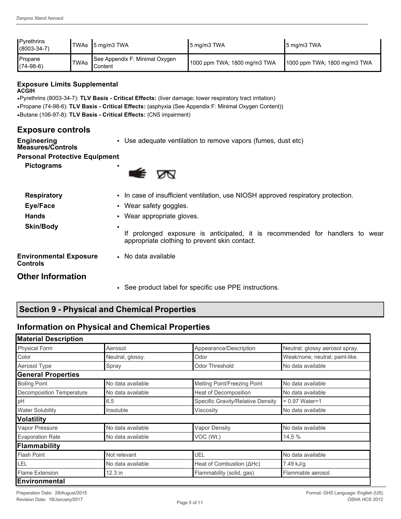| $\blacksquare$ Pyrethrins<br>$(8003 - 34 - 7)$ |      | TWAs   5 mg/m3 TWA                          | $\vert$ 5 mg/m3 TWA          | ∥5 ma/m3 TWA                  |
|------------------------------------------------|------|---------------------------------------------|------------------------------|-------------------------------|
| Propane<br>$(74-98-6)$                         | TWAs | See Appendix F: Minimal Oxygen<br>l Content | 1000 ppm TWA; 1800 mg/m3 TWA | ∥1000 ppm TWA; 1800 mg/m3 TWA |

#### **Exposure Limits Supplemental**

#### **ACGIH**

•Pyrethrins (8003-34-7): **TLV Basis - Critical Effects:** (liver damage; lower respiratory tract irritation)

•Propane (74-98-6): **TLV Basis - Critical Effects:** (asphyxia (See Appendix F: Minimal Oxygen Content))

•Butane (106-97-8): **TLV Basis - Critical Effects:** (CNS impairment)

## **Exposure controls**

```
Engineering 
Measures/Controls
```
• Use adequate ventilation to remove vapors (fumes, dust etc)

### **Personal Protective Equipment**

**Pictograms** •



| <b>Respiratory</b>                        | • In case of insufficient ventilation, use NIOSH approved respiratory protection.                                             |  |
|-------------------------------------------|-------------------------------------------------------------------------------------------------------------------------------|--|
| Eye/Face                                  | • Wear safety goggles.                                                                                                        |  |
| <b>Hands</b>                              | • Wear appropriate gloves.                                                                                                    |  |
| <b>Skin/Body</b>                          | If prolonged exposure is anticipated, it is recommended for handlers to wear<br>appropriate clothing to prevent skin contact. |  |
| <b>Environmental Exposure</b><br>Controls | • No data available                                                                                                           |  |
| <b>Other Information</b>                  |                                                                                                                               |  |
|                                           | • See product label for specific use PPE instructions.                                                                        |  |

# **Section 9 - Physical and Chemical Properties**

# **Information on Physical and Chemical Properties**

| <b>Material Description</b> |                   |                                   |                                 |
|-----------------------------|-------------------|-----------------------------------|---------------------------------|
| <b>Physical Form</b>        | Aerosol           | Appearance/Description            | Neutral; glossy aerosol spray.  |
| Color                       | Neutral, glossy.  | Odor                              | Weak/none; neutral; paint-like. |
| Aerosol Type                | Spray             | <b>Odor Threshold</b>             | No data available               |
| <b>General Properties</b>   |                   |                                   |                                 |
| <b>Boiling Point</b>        | No data available | Melting Point/Freezing Point      | No data available               |
| Decomposition Temperature   | No data available | Heat of Decomposition             | No data available               |
| pH                          | 6.5               | Specific Gravity/Relative Density | $= 0.97$ Water=1                |
| <b>Water Solubility</b>     | Insoluble         | Viscositv                         | No data available               |
| <b>Volatility</b>           |                   |                                   |                                 |
| Vapor Pressure              | No data available | <b>Vapor Density</b>              | No data available               |
| <b>Evaporation Rate</b>     | No data available | VOC (Wt.)<br>14.5 %               |                                 |
| Flammability                |                   |                                   |                                 |
| Flash Point                 | Not relevant      | UEL<br>No data available          |                                 |
| LEL                         | No data available | Heat of Combustion $(\Delta Hc)$  | 7.49 kJ/g                       |
| Flame Extension             | 12.3 in           | Flammability (solid, gas)         | Flammable aerosol.              |
| Environmental               |                   |                                   |                                 |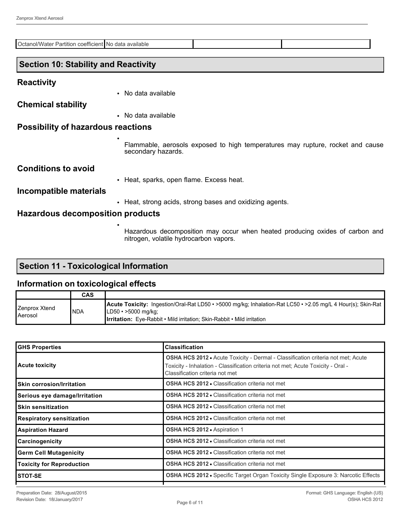| $\sim$<br>available<br>COATICIAL<br>าลาะ<br>∵ Partition L<br>$\sqrt{M}$<br>$-100$<br>. |  |
|----------------------------------------------------------------------------------------|--|
|                                                                                        |  |

### **Section 10: Stability and Reactivity**

### **Reactivity**

• No data available

**Chemical stability**

• No data available

# **Possibility of hazardous reactions**

• Flammable, aerosols exposed to high temperatures may rupture, rocket and cause secondary hazards.

#### **Conditions to avoid**

• Heat, sparks, open flame. Excess heat.

## **Incompatible materials**

• Heat, strong acids, strong bases and oxidizing agents.

## **Hazardous decomposition products**

•

Hazardous decomposition may occur when heated producing oxides of carbon and nitrogen, volatile hydrocarbon vapors.

# **Section 11 - Toxicological Information**

## **Information on toxicological effects**

|                            | CAS  |                                                                                                                                                                                                                                |
|----------------------------|------|--------------------------------------------------------------------------------------------------------------------------------------------------------------------------------------------------------------------------------|
| ∥Zenprox Xtend<br> Aerosol | INDA | <b>Acute Toxicity:</b> Ingestion/Oral-Rat LD50 • >5000 mg/kg; Inhalation-Rat LC50 • >2.05 mg/L 4 Hour(s); Skin-Rat  <br>∥LD50 • >5000 ma/ka:<br><b>Irritation:</b> Eye-Rabbit • Mild irritation; Skin-Rabbit • Mild irritation |

| <b>GHS Properties</b>            | <b>Classification</b>                                                                                                                                                                                          |
|----------------------------------|----------------------------------------------------------------------------------------------------------------------------------------------------------------------------------------------------------------|
| <b>Acute toxicity</b>            | <b>OSHA HCS 2012 •</b> Acute Toxicity - Dermal - Classification criteria not met; Acute<br>Toxicity - Inhalation - Classification criteria not met; Acute Toxicity - Oral -<br>Classification criteria not met |
| <b>Skin corrosion/Irritation</b> | <b>OSHA HCS 2012 • Classification criteria not met</b>                                                                                                                                                         |
| Serious eye damage/Irritation    | <b>OSHA HCS 2012 • Classification criteria not met</b>                                                                                                                                                         |
| <b>Skin sensitization</b>        | <b>OSHA HCS 2012 • Classification criteria not met</b>                                                                                                                                                         |
| <b>Respiratory sensitization</b> | <b>OSHA HCS 2012 • Classification criteria not met</b>                                                                                                                                                         |
| <b>Aspiration Hazard</b>         | <b>OSHA HCS 2012 • Aspiration 1</b>                                                                                                                                                                            |
| Carcinogenicity                  | OSHA HCS 2012 . Classification criteria not met                                                                                                                                                                |
| <b>Germ Cell Mutagenicity</b>    | <b>OSHA HCS 2012 • Classification criteria not met</b>                                                                                                                                                         |
| <b>Toxicity for Reproduction</b> | <b>OSHA HCS 2012 • Classification criteria not met</b>                                                                                                                                                         |
| STOT-SE                          | <b>OSHA HCS 2012 •</b> Specific Target Organ Toxicity Single Exposure 3: Narcotic Effects                                                                                                                      |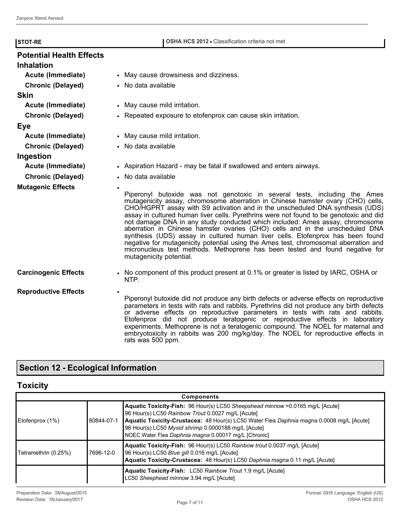| STOT-RE                         | <b>OSHA HCS 2012 • Classification criteria not met</b>                                                                                                                                                                                                                                                                                                                                                                                                                                                                                                                                                                                                                                                                                                                                      |  |  |
|---------------------------------|---------------------------------------------------------------------------------------------------------------------------------------------------------------------------------------------------------------------------------------------------------------------------------------------------------------------------------------------------------------------------------------------------------------------------------------------------------------------------------------------------------------------------------------------------------------------------------------------------------------------------------------------------------------------------------------------------------------------------------------------------------------------------------------------|--|--|
| <b>Potential Health Effects</b> |                                                                                                                                                                                                                                                                                                                                                                                                                                                                                                                                                                                                                                                                                                                                                                                             |  |  |
| <b>Inhalation</b>               |                                                                                                                                                                                                                                                                                                                                                                                                                                                                                                                                                                                                                                                                                                                                                                                             |  |  |
| Acute (Immediate)               | • May cause drowsiness and dizziness.                                                                                                                                                                                                                                                                                                                                                                                                                                                                                                                                                                                                                                                                                                                                                       |  |  |
| <b>Chronic (Delayed)</b>        | • No data available                                                                                                                                                                                                                                                                                                                                                                                                                                                                                                                                                                                                                                                                                                                                                                         |  |  |
| <b>Skin</b>                     |                                                                                                                                                                                                                                                                                                                                                                                                                                                                                                                                                                                                                                                                                                                                                                                             |  |  |
| Acute (Immediate)               | • May cause mild irritation.                                                                                                                                                                                                                                                                                                                                                                                                                                                                                                                                                                                                                                                                                                                                                                |  |  |
| <b>Chronic (Delayed)</b>        | • Repeated exposure to etofenprox can cause skin irritation.                                                                                                                                                                                                                                                                                                                                                                                                                                                                                                                                                                                                                                                                                                                                |  |  |
| Eye                             |                                                                                                                                                                                                                                                                                                                                                                                                                                                                                                                                                                                                                                                                                                                                                                                             |  |  |
| Acute (Immediate)               | • May cause mild irritation.                                                                                                                                                                                                                                                                                                                                                                                                                                                                                                                                                                                                                                                                                                                                                                |  |  |
| <b>Chronic (Delayed)</b>        | • No data available                                                                                                                                                                                                                                                                                                                                                                                                                                                                                                                                                                                                                                                                                                                                                                         |  |  |
| Ingestion                       |                                                                                                                                                                                                                                                                                                                                                                                                                                                                                                                                                                                                                                                                                                                                                                                             |  |  |
| Acute (Immediate)               | • Aspiration Hazard - may be fatal if swallowed and enters airways.                                                                                                                                                                                                                                                                                                                                                                                                                                                                                                                                                                                                                                                                                                                         |  |  |
| <b>Chronic (Delayed)</b>        | • No data available                                                                                                                                                                                                                                                                                                                                                                                                                                                                                                                                                                                                                                                                                                                                                                         |  |  |
| <b>Mutagenic Effects</b>        | Piperonyl butoxide was not genotoxic in several tests, including the Ames<br>mutagenicity assay, chromosome aberration in Chinese hamster ovary (CHO) cells,<br>CHO/HGPRT assay with S9 activation and in the unscheduled DNA synthesis (UDS)<br>assay in cultured human liver cells. Pyrethrins were not found to be genotoxic and did<br>not damage DNA in any study conducted which included: Ames assay, chromosome<br>aberration in Chinese hamster ovaries (CHO) cells and in the unscheduled DNA<br>synthesis (UDS) assay in cultured human liver cells. Etofenprox has been found<br>negative for mutagenicity potential using the Ames test, chromosomal aberration and<br>micronucleus test methods. Methoprene has been tested and found negative for<br>mutagenicity potential. |  |  |
| <b>Carcinogenic Effects</b>     | • No component of this product present at 0.1% or greater is listed by IARC, OSHA or<br>NTP.                                                                                                                                                                                                                                                                                                                                                                                                                                                                                                                                                                                                                                                                                                |  |  |
| <b>Reproductive Effects</b>     | Piperonyl butoxide did not produce any birth defects or adverse effects on reproductive<br>parameters in tests with rats and rabbits. Pyrethrins did not produce any birth defects<br>or adverse effects on reproductive parameters in tests with rats and rabbits.<br>Etofenprox did not produce teratogenic or reproductive effects in laboratory<br>experiments. Methoprene is not a teratogenic compound. The NOEL for maternal and<br>embryotoxicity in rabbits was 200 mg/kg/day. The NOEL for reproductive effects in<br>rats was 500 ppm.                                                                                                                                                                                                                                           |  |  |

# **Section 12 - Ecological Information**

# **Toxicity**

| <b>Components</b>    |            |                                                                                                                                                                                                                                                                                                                                               |  |
|----------------------|------------|-----------------------------------------------------------------------------------------------------------------------------------------------------------------------------------------------------------------------------------------------------------------------------------------------------------------------------------------------|--|
| Etofenprox (1%)      | 80844-07-1 | Aquatic Toxicity-Fish: 96 Hour(s) LC50 Sheepshead minnow >0.0165 mg/L [Acute]<br>96 Hour(s) LC50 Rainbow Trout 0.0027 mg/L [Acute]<br>Aquatic Toxicity-Crustacea: 48 Hour(s) LC50 Water Flea Daphnia magna 0.0008 mg/L [Acute]<br>96 Hour(s) LC50 Mysid shrimp 0.0000188 mg/L [Acute]<br>NOEC Water Flea Daphnia magna 0.00017 mg/L [Chronic] |  |
| Tetramethrin (0.25%) | 7696-12-0  | Aquatic Toxicity-Fish: 96 Hour(s) LC50 Rainbow trout 0.0037 mg/L [Acute]<br>96 Hour(s) LC50 Blue gill 0.016 mg/L [Acute]<br>Aquatic Toxicity-Crustacea: 48 Hour(s) LC50 Daphnia magna 0.11 mg/L [Acute]                                                                                                                                       |  |
|                      |            | Aquatic Toxicity-Fish: LC50 Rainbow Trout 1.9 mg/L [Acute]<br>LC50 Sheephead minnow 3.94 mg/L [Acute]                                                                                                                                                                                                                                         |  |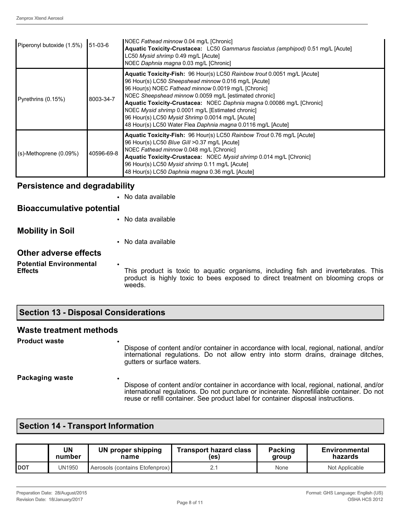| Piperonyl butoxide (1.5%) | 51-03-6    | NOEC Fathead minnow 0.04 mg/L [Chronic]<br>Aquatic Toxicity-Crustacea: LC50 Gammarus fasciatus (amphipod) 0.51 mg/L [Acute]<br>LC50 Mysid shrimp 0.49 mg/L [Acute]<br>NOEC Daphnia magna 0.03 mg/L [Chronic]                                                                                                                                                                                                                                                                                         |  |
|---------------------------|------------|------------------------------------------------------------------------------------------------------------------------------------------------------------------------------------------------------------------------------------------------------------------------------------------------------------------------------------------------------------------------------------------------------------------------------------------------------------------------------------------------------|--|
| Pyrethrins (0.15%)        | 8003-34-7  | Aquatic Toxicity-Fish: 96 Hour(s) LC50 Rainbow trout 0.0051 mg/L [Acute]<br>96 Hour(s) LC50 Sheepshead minnow 0.016 mg/L [Acute]<br>96 Hour(s) NOEC Fathead minnow 0.0019 mg/L [Chronic]<br>NOEC Sheepshead minnow 0.0059 mg/L [estimated chronic]<br>Aquatic Toxicity-Crustacea: NOEC Daphnia magna 0.00086 mg/L [Chronic]<br>NOEC Mysid shrimp 0.0001 mg/L [Estimated chronic]<br>96 Hour(s) LC50 Mysid Shrimp 0.0014 mg/L [Acute]<br>48 Hour(s) LC50 Water Flea Daphnia magna 0.0116 mg/L [Acute] |  |
| $(s)$ -Methoprene (0.09%) | 40596-69-8 | Aquatic Toxicity-Fish: 96 Hour(s) LC50 Rainbow Trout 0.76 mg/L [Acute]<br>96 Hour(s) LC50 Blue Gill >0.37 mg/L [Acute]<br>NOEC Fathead minnow 0.048 mg/L [Chronic]<br>Aquatic Toxicity-Crustacea: NOEC Mysid shrimp 0.014 mg/L [Chronic]<br>96 Hour(s) LC50 Mysid shrimp 0.11 mg/L [Acute]<br>48 Hour(s) LC50 Daphnia magna 0.36 mg/L [Acute]                                                                                                                                                        |  |

## **Persistence and degradability**

|                                                  | • No data available                                                                                                                                                              |
|--------------------------------------------------|----------------------------------------------------------------------------------------------------------------------------------------------------------------------------------|
| <b>Bioaccumulative potential</b>                 |                                                                                                                                                                                  |
|                                                  | • No data available                                                                                                                                                              |
| <b>Mobility in Soil</b>                          |                                                                                                                                                                                  |
|                                                  | • No data available                                                                                                                                                              |
| <b>Other adverse effects</b>                     |                                                                                                                                                                                  |
| <b>Potential Environmental</b><br><b>Effects</b> | This product is toxic to aquatic organisms, including fish and invertebrates. This<br>product is highly toxic to bees exposed to direct treatment on blooming crops or<br>weeds. |

|  |  | <b>Section 13 - Disposal Considerations</b> |
|--|--|---------------------------------------------|
|--|--|---------------------------------------------|

## **Waste treatment methods**

**Product waste** 

Dispose of content and/or container in accordance with local, regional, national, and/or international regulations. Do not allow entry into storm drains, drainage ditches, gutters or surface waters.

#### **Packaging waste**

Dispose of content and/or container in accordance with local, regional, national, and/or international regulations. Do not puncture or incinerate. Nonrefillable container. Do not reuse or refill container. See product label for container disposal instructions.

## **Section 14 - Transport Information**

|            | UN     | <b>UN proper shipping</b>      | <b>Transport hazard class</b> | <b>Packing</b> | Environmental  |
|------------|--------|--------------------------------|-------------------------------|----------------|----------------|
|            | number | name                           | (es)                          | group          | hazards        |
| <b>DOT</b> | UN1950 | Aerosols (contains Etofenprox) | <u>.</u>                      | None           | Not Applicable |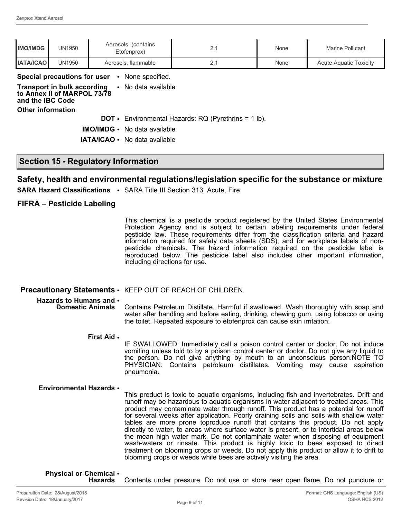| <b>IMO/IMDG</b>                         | <b>UN1950</b>                                                                                                    | Aerosols, (contains<br>Etofenprox) | 2.1                                                           | None | Marine Pollutant              |  |
|-----------------------------------------|------------------------------------------------------------------------------------------------------------------|------------------------------------|---------------------------------------------------------------|------|-------------------------------|--|
| <b>IATA/ICAO</b>                        | <b>UN1950</b>                                                                                                    | Aerosols, flammable                | 2.1                                                           | None | <b>Acute Aquatic Toxicity</b> |  |
|                                         | Special precautions for user                                                                                     | None specified.<br>$\bullet$       |                                                               |      |                               |  |
|                                         | Transport in bulk according<br>No data available<br>$\bullet$<br>to Annex II of MARPOL 73/78<br>and the IBC Code |                                    |                                                               |      |                               |  |
|                                         | <b>Other information</b>                                                                                         |                                    |                                                               |      |                               |  |
|                                         |                                                                                                                  |                                    | <b>DOT</b> • Environmental Hazards: $RQ$ (Pyrethrins = 1 lb). |      |                               |  |
| $IMO/IMDG$ .<br>No data available       |                                                                                                                  |                                    |                                                               |      |                               |  |
| No data available<br><b>IATA/ICAO •</b> |                                                                                                                  |                                    |                                                               |      |                               |  |
|                                         |                                                                                                                  |                                    |                                                               |      |                               |  |

### **Section 15 - Regulatory Information**

#### **Safety, health and environmental regulations/legislation specific for the substance or mixture**

**SARA Hazard Classifications** • SARA Title III Section 313, Acute, Fire

#### **FIFRA – Pesticide Labeling**

This chemical is a pesticide product registered by the United States Environmental Protection Agency and is subject to certain labeling requirements under federal pesticide law. These requirements differ from the classification criteria and hazard information required for safety data sheets (SDS), and for workplace labels of nonpesticide chemicals. The hazard information required on the pesticide label is reproduced below. The pesticide label also includes other important information, including directions for use.

#### **Precautionary Statements** • KEEP OUT OF REACH OF CHILDREN.

- **Hazards to Humans and Domestic Animals**
	- Contains Petroleum Distillate. Harmful if swallowed. Wash thoroughly with soap and water after handling and before eating, drinking, chewing gum, using tobacco or using the toilet. Repeated exposure to etofenprox can cause skin irritation.
	- **First Aid** •

IF SWALLOWED: Immediately call a poison control center or doctor. Do not induce vomiting unless told to by a poison control center or doctor. Do not give any liquid to the person. Do not give anything by mouth to an unconscious person.NOTE TO PHYSICIAN: Contains petroleum distillates. Vomiting may cause aspiration pneumonia.

#### **Environmental Hazards** •

This product is toxic to aquatic organisms, including fish and invertebrates. Drift and runoff may be hazardous to aquatic organisms in water adjacent to treated areas. This product may contaminate water through runoff. This product has a potential for runoff for several weeks after application. Poorly draining soils and soils with shallow water tables are more prone toproduce runoff that contains this product. Do not apply directly to water, to areas where surface water is present, or to intertidal areas below the mean high water mark. Do not contaminate water when disposing of equipment wash-waters or rinsate. This product is highly toxic to bees exposed to direct treatment on blooming crops or weeds. Do not apply this product or allow it to drift to blooming crops or weeds while bees are actively visiting the area.

```
Physical or Chemical 
•
            Hazards
```
Contents under pressure. Do not use or store near open flame. Do not puncture or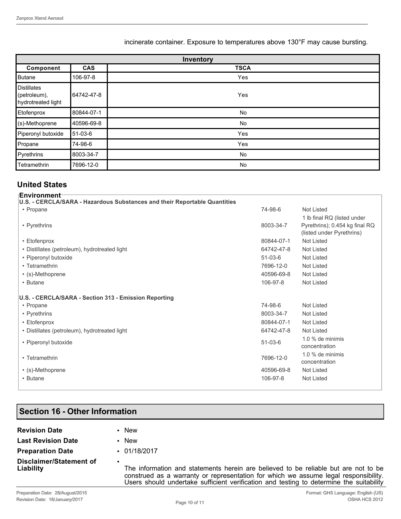#### incinerate container. Exposure to temperatures above 130°F may cause bursting.

| Inventory                                         |            |             |  |  |
|---------------------------------------------------|------------|-------------|--|--|
| Component                                         | CAS        | <b>TSCA</b> |  |  |
| Butane                                            | 106-97-8   | Yes         |  |  |
| Distillates<br>(petroleum),<br>hydrotreated light | 64742-47-8 | Yes         |  |  |
| Etofenprox                                        | 80844-07-1 | No          |  |  |
| (s)-Methoprene                                    | 40596-69-8 | No          |  |  |
| Piperonyl butoxide                                | 51-03-6    | Yes         |  |  |
| Propane                                           | 74-98-6    | Yes         |  |  |
| Pyrethrins                                        | 8003-34-7  | No          |  |  |
| Tetramethrin                                      | 7696-12-0  | <b>No</b>   |  |  |

## **United States**

#### **Environment U.S. - CERCLA/SARA - Hazardous Substances and their Reportable Quantities** • Propane 2012 Not Listed that the set of the set of the set of the set of the set of the set of the set of the set of the set of the set of the set of the set of the set of the set of the set of the set of the set of the • Pyrethrins 8003-34-7 1 lb final RQ (listed under Pyrethrins); 0.454 kg final RQ (listed under Pyrethrins) • Etofenprox 80844-07-1 Not Listed • Distillates (petroleum), hydrotreated light 64742-47-8 Not Listed • Piperonyl butoxide 51-03-6 Not Listed • Tetramethrin 7696-12-0 Not Listed • (s)-Methoprene 40596-69-8 Not Listed • Butane 106-97-8 Not Listed **U.S. - CERCLA/SARA - Section 313 - Emission Reporting** • Propane 2012 Not Listed that the set of the set of the set of the set of the set of the set of the set of the set of the set of the set of the set of the set of the set of the set of the set of the set of the set of the • Pyrethrins 8003-34-7 Not Listed • Etofenprox 80844-07-1 Not Listed • Distillates (petroleum), hydrotreated light 64742-47-8 Not Listed • Piperonyl butoxide 1.0 % de minimis **1.0** % de minimis **1.0** % de minimis **1.0** % de minimis **1.0** % de minimis **1.0** % de minimis **1.0** % de minimis **1.0** % de minimis **1.0** % de minimis **1.0** % de minimis **1.0** % de mi concentration • Tetramethrin 1.0 % de minimis **1.0** % de minimis **1.0** % de minimis concentration • (s)-Methoprene 40596-69-8 Not Listed • Butane 106-97-8 Not Listed

### **Section 16 - Other Information**

| <b>Revision Date</b>                 | • New                                                                                                                                                                                                                                                                 |
|--------------------------------------|-----------------------------------------------------------------------------------------------------------------------------------------------------------------------------------------------------------------------------------------------------------------------|
| <b>Last Revision Date</b>            | <b>New</b>                                                                                                                                                                                                                                                            |
| <b>Preparation Date</b>              | $\cdot$ 01/18/2017                                                                                                                                                                                                                                                    |
| Disclaimer/Statement of<br>Liability | The information and statements herein are believed to be reliable but are not to be<br>construed as a warranty or representation for which we assume legal responsibility.<br>Users should undertake sufficient verification and testing to determine the suitability |